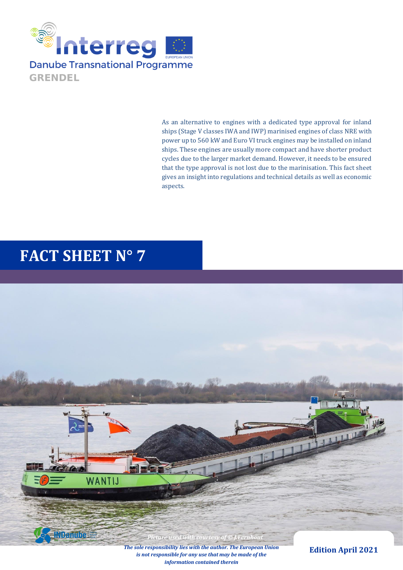

As an alternative to engines with a dedicated type approval for inland ships (Stage V classes IWA and IWP) marinised engines of class NRE with power up to 560 kW and Euro VI truck engines may be installed on inland ships. These engines are usually more compact and have shorter product cycles due to the larger market demand. However, it needs to be ensured that the type approval is not lost due to the marinisation. This fact sheet gives an insight into regulations and technical details as well as economic aspects.

# **FACT SHEET N° 7**



*information contained therein*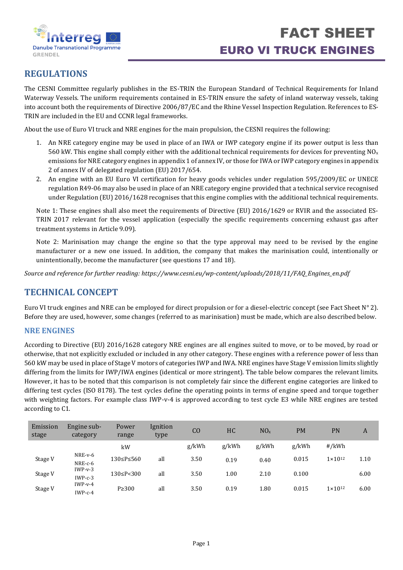

# **REGULATIONS**

The CESNI Committee regularly publishes in the ES-TRIN the European Standard of Technical Requirements for Inland Waterway Vessels. The uniform requirements contained in ES-TRIN ensure the safety of inland waterway vessels, taking into account both the requirements of Directive 2006/87/EC and the Rhine Vessel Inspection Regulation. References to ES-TRIN are included in the EU and CCNR legal frameworks.

About the use of Euro VI truck and NRE engines for the main propulsion, the CESNI requires the following:

- 1. An NRE category engine may be used in place of an IWA or IWP category engine if its power output is less than 560 kW. This engine shall comply either with the additional technical requirements for devices for preventing  $NO<sub>x</sub>$ emissions for NRE category engines in appendix 1 of annex IV, or those for IWA or IWP category engines in appendix 2 of annex IV of delegated regulation (EU) 2017/654.
- 2. An engine with an EU Euro VI certification for heavy goods vehicles under regulation 595/2009/EC or UNECE regulation R49‐06 may also be used in place of an NRE category engine provided that a technical service recognised under Regulation (EU) 2016/1628 recognises that this engine complies with the additional technical requirements.

Note 1: These engines shall also meet the requirements of Directive (EU) 2016/1629 or RVIR and the associated ES‐ TRIN 2017 relevant for the vessel application (especially the specific requirements concerning exhaust gas after treatment systems in Article 9.09).

Note 2: Marinisation may change the engine so that the type approval may need to be revised by the engine manufacturer or a new one issued. In addition, the company that makes the marinisation could, intentionally or unintentionally, become the manufacturer (see questions 17 and 18).

*Source and reference for further reading: https://www.cesni.eu/wp-content/uploads/2018/11/FAQ\_Engines\_en.pdf*

## **TECHNICAL CONCEPT**

Euro VI truck engines and NRE can be employed for direct propulsion or for a diesel-electric concept (see Fact Sheet N° 2). Before they are used, however, some changes (referred to as marinisation) must be made, which are also described below.

#### **NRE ENGINES**

According to Directive (EU) 2016/1628 category NRE engines are all engines suited to move, or to be moved, by road or otherwise, that not explicitly excluded or included in any other category. These engines with a reference power of less than 560 kW may be used in place of Stage V motors of categories IWP and IWA. NRE engines have Stage V emission limits slightly differing from the limits for IWP/IWA engines (identical or more stringent). The table below compares the relevant limits. However, it has to be noted that this comparison is not completely fair since the different engine categories are linked to differing test cycles (ISO 8178). The test cycles define the operating points in terms of engine speed and torque together with weighting factors. For example class IWP-v-4 is approved according to test cycle E3 while NRE engines are tested according to C1.

| Emission<br>stage | Engine sub-<br>category | Power<br>range | Ignition<br>type | C <sub>O</sub> | <b>HC</b> | NO <sub>x</sub> | PM    | PN                 | A    |
|-------------------|-------------------------|----------------|------------------|----------------|-----------|-----------------|-------|--------------------|------|
|                   |                         | kW             |                  | g/kWh          | g/kWh     | g/kWh           | g/kWh | #/kWh              |      |
| Stage V           | NRE-v-6<br>NRE-c-6      | 130≤P≤560      | all              | 3.50           | 0.19      | 0.40            | 0.015 | $1 \times 10^{12}$ | 1.10 |
| Stage V           | $IWP-v-3$<br>$IWP-c-3$  | 130≤P<300      | all              | 3.50           | 1.00      | 2.10            | 0.100 |                    | 6.00 |
| Stage V           | $IWP-v-4$<br>$IWP-c-4$  | $P \geq 300$   | all              | 3.50           | 0.19      | $1.80\,$        | 0.015 | $1 \times 10^{12}$ | 6.00 |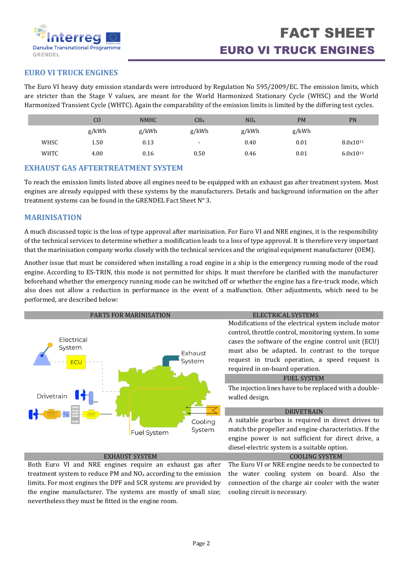

## **EURO VI TRUCK ENGINES**

The Euro VI heavy duty emission standards were introduced by [Regulation No 595/2009/](http://eur-lex.europa.eu/LexUriServ/LexUriServ.do?uri=OJ:L:2009:188:0001:0013:EN:PDF)EC. The emission limits, which are stricter than the Stage V values, are meant for the World Harmonized Stationary Cycle (WHSC) and the World Harmonized Transient Cycle (WHTC). Again the comparability of the emission limits is limited by the differing test cycles.

|             | CO    | <b>NMHC</b> | CH <sub>4</sub> | NO <sub>x</sub> | <b>PM</b> | <b>PN</b>            |
|-------------|-------|-------------|-----------------|-----------------|-----------|----------------------|
|             | g/kWh | g/kWh       | g/kWh           | g/kWh           | g/kWh     |                      |
| WHSC        | 1.50  | 0.13        | $\sim$          | 0.40            | 0.01      | 8.0x10 <sup>11</sup> |
| <b>WHTC</b> | 4.00  | 0.16        | 0.50            | 0.46            | 0.01      | 6.0x1011             |

#### **EXHAUST GAS AFTERTREATMENT SYSTEM**

To reach the emission limits listed above all engines need to be equipped with an exhaust gas after treatment system. Most engines are already equipped with these systems by the manufacturers. Details and background information on the after treatment systems can be found in the GRENDEL Fact Sheet N° 3.

### **MARINISATION**

A much discussed topic is the loss of type approval after marinisation. For Euro VI and NRE engines, it is the responsibility of the technical services to determine whether a modification leads to a loss of type approval. It is therefore very important that the marinisation company works closely with the technical services and the original equipment manufacturer (OEM).

Another issue that must be considered when installing a road engine in a ship is the emergency running mode of the road engine. According to ES-TRIN, this mode is not permitted for ships. It must therefore be clarified with the manufacturer beforehand whether the emergency running mode can be switched off or whether the engine has a fire-truck mode, which also does not allow a reduction in performance in the event of a malfunction. Other adjustments, which need to be performed, are described below:



Both Euro VI and NRE engines require an exhaust gas after treatment system to reduce PM and  $NO<sub>x</sub>$  according to the emission limits. For most engines the DPF and SCR systems are provided by the engine manufacturer. The systems are mostly of small size; nevertheless they must be fitted in the engine room.

The Euro VI or NRE engine needs to be connected to the water cooling system on board. Also the connection of the charge air cooler with the water cooling circuit is necessary.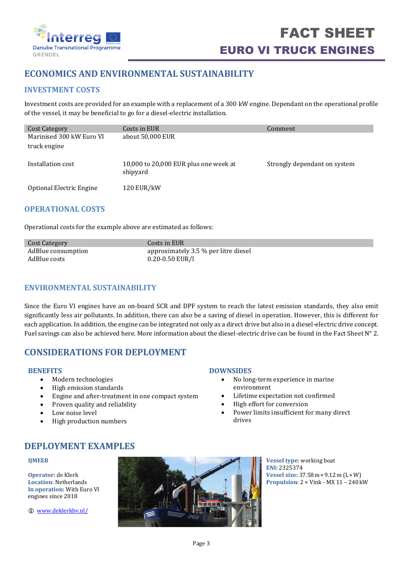

# **ECONOMICS AND ENVIRONMENTAL SUSTAINABILITY**

## **INVESTMENT COSTS**

Investment costs are provided for an example with a replacement of a 300 kW engine. Dependant on the operational profile of the vessel, it may be beneficial to go for a diesel-electric installation.

| Cost Category                            | Costs in EUR                                      | Comment                      |
|------------------------------------------|---------------------------------------------------|------------------------------|
| Marinised 300 kW Euro VI<br>truck engine | about 50,000 EUR                                  |                              |
| Installation cost                        | 10,000 to 20,000 EUR plus one week at<br>shipyard | Strongly dependant on system |
| Optional Electric Engine                 | <b>120 EUR/kW</b>                                 |                              |

### **OPERATIONAL COSTS**

Operational costs for the example above are estimated as follows:

| Cost Category      | Costs in EUR                         |
|--------------------|--------------------------------------|
| AdBlue consumption | approximately 3.5 % per litre diesel |
| AdBlue costs       | 0.20-0.50 EUR/l                      |

## **ENVIRONMENTAL SUSTAINABILITY**

Since the Euro VI engines have an on-board SCR and DPF system to reach the latest emission standards, they also emit significantly less air pollutants. In addition, there can also be a saving of diesel in operation. However, this is different for each application. In addition, the engine can be integrated not only as a direct drive but also in a diesel-electric drive concept. Fuel savings can also be achieved here. More information about the diesel-electric drive can be found in the Fact Sheet  $N^{\circ}$  2.

## **CONSIDERATIONS FOR DEPLOYMENT**

#### **BENEFITS**

- Modern technologies
- High emission standards
- Engine and after-treatment in one compact system
- Proven quality and reliability
- Low noise level
- High production numbers

#### **DOWNSIDES**

- No long-term experience in marine environment
- Lifetime expectation not confirmed
- High effort for conversion
- Power limits insufficient for many direct drives

## **DEPLOYMENT EXAMPLES**

#### **IJMEER**

**Operator**: de Klerk **Location**: Netherlands **In operation**: With Euro VI engines since 2018

[www.deklerkbv.nl/](https://www.deklerkbv.nl/de/)



**Vessel type**: working boat **ENI:** 2325374 **Vessel size:** 37.58m×9.12m (L×W) **Propulsion**: 2 × Vink - MX 11 – 240kW